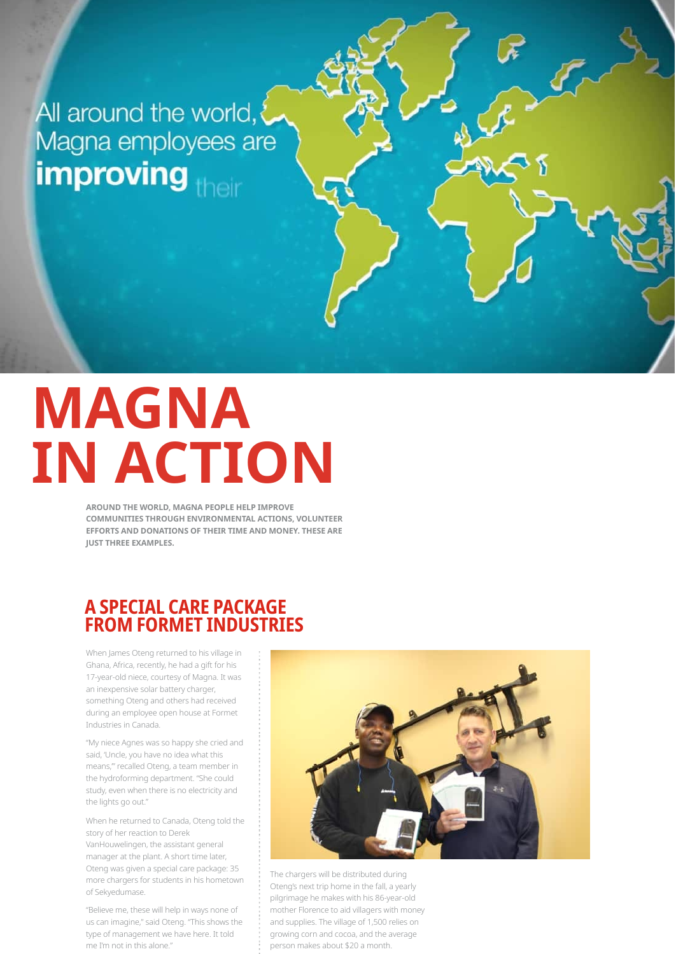All around the world, Magna employees are improving their

# **MAGNA IN ACTION**

AROUND THE WORLD, MAGNA PEOPLE HELP IMPROVE **COMMUNITIES THROUGH ENVIRONMENTAL ACTIONS, VOLUNTEER** EFFORTS AND DONATIONS OF THEIR TIME AND MONEY. THESE ARE **IUST THREE EXAMPLES.** 

#### **A SPECIAL CARE PACKAGE FROM FORMET INDUSTRIES**

When James Oteng returned to his village in Ghana, Africa, recently, he had a gift for his 17-year-old niece, courtesy of Magna. It was an inexpensive solar battery charger, something Oteng and others had received during an employee open house at Formet Industries in Canada.

"My niece Agnes was so happy she cried and said, 'Uncle, you have no idea what this means," recalled Oteng, a team member in the hydroforming department. "She could study, even when there is no electricity and the lights go out."

When he returned to Canada, Oteng told the story of her reaction to Derek VanHouwelingen, the assistant general manager at the plant. A short time later, Oteng was given a special care package: 35 more chargers for students in his hometown of Sekyedumase.

"Believe me, these will help in ways none of us can imagine," said Oteng. "This shows the type of management we have here. It told me I'm not in this alone."



The chargers will be distributed during Oteng's next trip home in the fall, a yearly pilgrimage he makes with his 86-year-old mother Florence to aid villagers with money and supplies. The village of 1,500 relies on growing corn and cocoa, and the average person makes about \$20 a month.